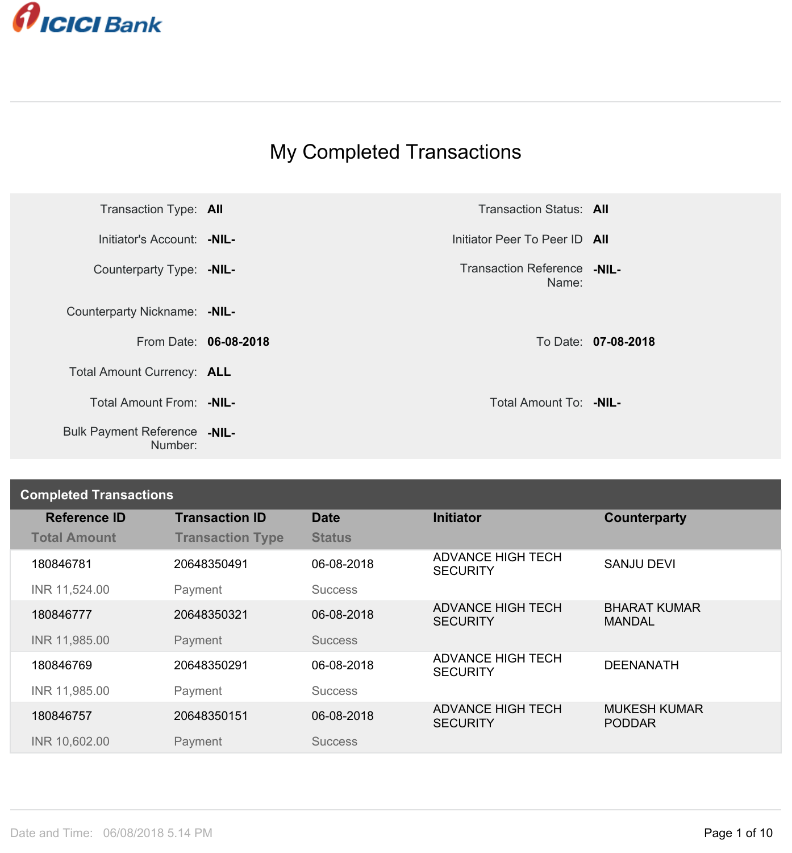

## My Completed Transactions

| Transaction Type: All                          |                       | <b>Transaction Status: All</b>       |                     |
|------------------------------------------------|-----------------------|--------------------------------------|---------------------|
| Initiator's Account: - NIL-                    |                       | Initiator Peer To Peer ID All        |                     |
| Counterparty Type: - NIL-                      |                       | Transaction Reference -NIL-<br>Name: |                     |
| Counterparty Nickname: - NIL-                  |                       |                                      |                     |
|                                                | From Date: 06-08-2018 |                                      | To Date: 07-08-2018 |
| Total Amount Currency: ALL                     |                       |                                      |                     |
| Total Amount From: - NIL-                      |                       | Total Amount To: -NIL-               |                     |
| <b>Bulk Payment Reference -NIL-</b><br>Number: |                       |                                      |                     |

## **Completed Transactions**

| <b>Reference ID</b> | <b>Transaction ID</b>   | <b>Date</b>    | <b>Initiator</b>                            | Counterparty                         |
|---------------------|-------------------------|----------------|---------------------------------------------|--------------------------------------|
| <b>Total Amount</b> | <b>Transaction Type</b> | <b>Status</b>  |                                             |                                      |
| 180846781           | 20648350491             | 06-08-2018     | <b>ADVANCE HIGH TECH</b><br><b>SECURITY</b> | <b>SANJU DEVI</b>                    |
| INR 11,524.00       | Payment                 | <b>Success</b> |                                             |                                      |
| 180846777           | 20648350321             | 06-08-2018     | <b>ADVANCE HIGH TECH</b><br><b>SECURITY</b> | <b>BHARAT KUMAR</b><br><b>MANDAL</b> |
| INR 11,985.00       | Payment                 | <b>Success</b> |                                             |                                      |
| 180846769           | 20648350291             | 06-08-2018     | <b>ADVANCE HIGH TECH</b><br><b>SECURITY</b> | <b>DEENANATH</b>                     |
| INR 11,985.00       | Payment                 | <b>Success</b> |                                             |                                      |
| 180846757           | 20648350151             | 06-08-2018     | <b>ADVANCE HIGH TECH</b><br><b>SECURITY</b> | <b>MUKESH KUMAR</b><br><b>PODDAR</b> |
| INR 10,602.00       | Payment                 | <b>Success</b> |                                             |                                      |
|                     |                         |                |                                             |                                      |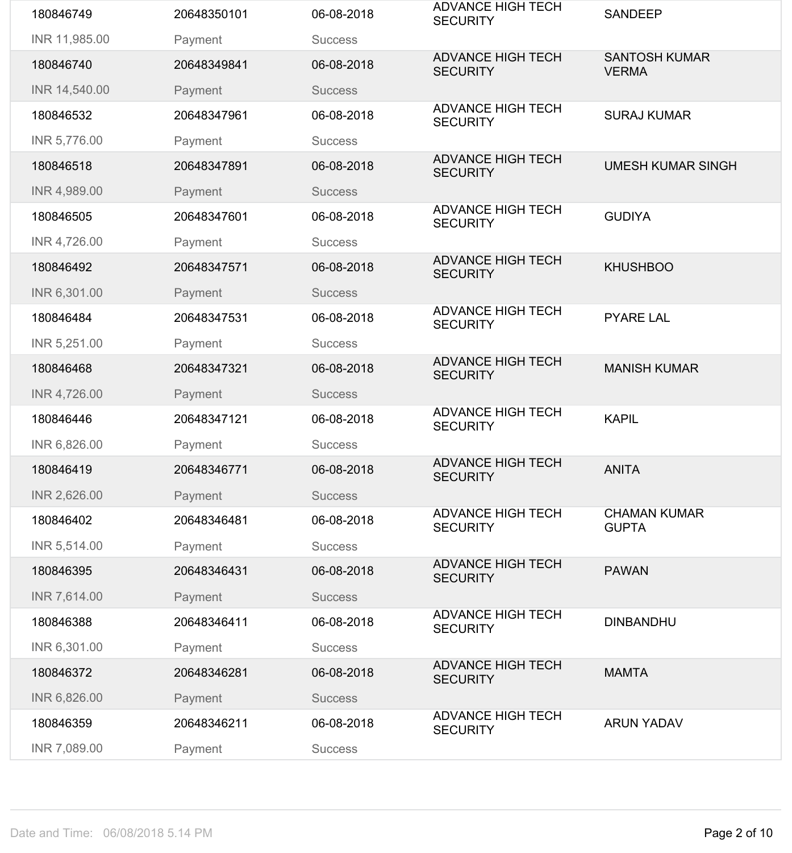| 180846749     | 20648350101 | 06-08-2018     | <b>ADVANCE HIGH TECH</b><br><b>SECURITY</b> | <b>SANDEEP</b>                       |
|---------------|-------------|----------------|---------------------------------------------|--------------------------------------|
| INR 11,985.00 | Payment     | <b>Success</b> |                                             |                                      |
| 180846740     | 20648349841 | 06-08-2018     | <b>ADVANCE HIGH TECH</b><br><b>SECURITY</b> | <b>SANTOSH KUMAR</b><br><b>VERMA</b> |
| INR 14,540.00 | Payment     | <b>Success</b> |                                             |                                      |
| 180846532     | 20648347961 | 06-08-2018     | <b>ADVANCE HIGH TECH</b><br><b>SECURITY</b> | <b>SURAJ KUMAR</b>                   |
| INR 5,776.00  | Payment     | <b>Success</b> |                                             |                                      |
| 180846518     | 20648347891 | 06-08-2018     | <b>ADVANCE HIGH TECH</b><br><b>SECURITY</b> | <b>UMESH KUMAR SINGH</b>             |
| INR 4,989.00  | Payment     | <b>Success</b> |                                             |                                      |
| 180846505     | 20648347601 | 06-08-2018     | <b>ADVANCE HIGH TECH</b><br><b>SECURITY</b> | <b>GUDIYA</b>                        |
| INR 4,726.00  | Payment     | <b>Success</b> |                                             |                                      |
| 180846492     | 20648347571 | 06-08-2018     | <b>ADVANCE HIGH TECH</b><br><b>SECURITY</b> | <b>KHUSHBOO</b>                      |
| INR 6,301.00  | Payment     | <b>Success</b> |                                             |                                      |
| 180846484     | 20648347531 | 06-08-2018     | <b>ADVANCE HIGH TECH</b><br><b>SECURITY</b> | <b>PYARE LAL</b>                     |
| INR 5,251.00  | Payment     | <b>Success</b> |                                             |                                      |
| 180846468     | 20648347321 | 06-08-2018     | <b>ADVANCE HIGH TECH</b><br><b>SECURITY</b> | <b>MANISH KUMAR</b>                  |
| INR 4,726.00  | Payment     | <b>Success</b> |                                             |                                      |
| 180846446     | 20648347121 | 06-08-2018     | <b>ADVANCE HIGH TECH</b><br><b>SECURITY</b> | <b>KAPIL</b>                         |
| INR 6,826.00  | Payment     | <b>Success</b> |                                             |                                      |
| 180846419     | 20648346771 | 06-08-2018     | <b>ADVANCE HIGH TECH</b><br><b>SECURITY</b> | <b>ANITA</b>                         |
| INR 2,626.00  | Payment     | <b>Success</b> |                                             |                                      |
| 180846402     | 20648346481 | 06-08-2018     | <b>ADVANCE HIGH TECH</b><br><b>SECURITY</b> | <b>CHAMAN KUMAR</b><br><b>GUPTA</b>  |
| INR 5,514.00  | Payment     | <b>Success</b> |                                             |                                      |
| 180846395     | 20648346431 | 06-08-2018     | <b>ADVANCE HIGH TECH</b><br><b>SECURITY</b> | <b>PAWAN</b>                         |
| INR 7,614.00  | Payment     | <b>Success</b> |                                             |                                      |
| 180846388     | 20648346411 | 06-08-2018     | <b>ADVANCE HIGH TECH</b><br><b>SECURITY</b> | <b>DINBANDHU</b>                     |
| INR 6,301.00  | Payment     | <b>Success</b> |                                             |                                      |
| 180846372     | 20648346281 | 06-08-2018     | <b>ADVANCE HIGH TECH</b><br><b>SECURITY</b> | <b>MAMTA</b>                         |
| INR 6,826.00  | Payment     | <b>Success</b> |                                             |                                      |
| 180846359     | 20648346211 | 06-08-2018     | <b>ADVANCE HIGH TECH</b><br><b>SECURITY</b> | <b>ARUN YADAV</b>                    |
| INR 7,089.00  | Payment     | <b>Success</b> |                                             |                                      |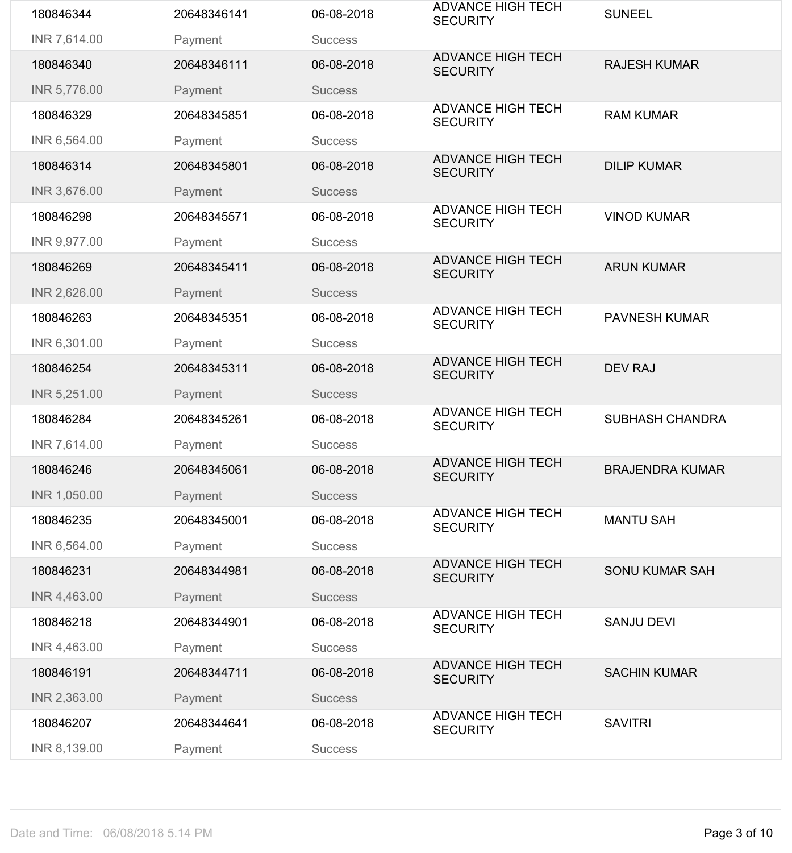| 180846344    | 20648346141 | 06-08-2018     | <b>ADVANCE HIGH TECH</b><br><b>SECURITY</b> | <b>SUNEEL</b>          |
|--------------|-------------|----------------|---------------------------------------------|------------------------|
| INR 7,614.00 | Payment     | <b>Success</b> |                                             |                        |
| 180846340    | 20648346111 | 06-08-2018     | <b>ADVANCE HIGH TECH</b><br><b>SECURITY</b> | <b>RAJESH KUMAR</b>    |
| INR 5,776.00 | Payment     | <b>Success</b> |                                             |                        |
| 180846329    | 20648345851 | 06-08-2018     | <b>ADVANCE HIGH TECH</b><br><b>SECURITY</b> | <b>RAM KUMAR</b>       |
| INR 6,564.00 | Payment     | <b>Success</b> |                                             |                        |
| 180846314    | 20648345801 | 06-08-2018     | <b>ADVANCE HIGH TECH</b><br><b>SECURITY</b> | <b>DILIP KUMAR</b>     |
| INR 3,676.00 | Payment     | <b>Success</b> |                                             |                        |
| 180846298    | 20648345571 | 06-08-2018     | <b>ADVANCE HIGH TECH</b><br><b>SECURITY</b> | <b>VINOD KUMAR</b>     |
| INR 9,977.00 | Payment     | <b>Success</b> |                                             |                        |
| 180846269    | 20648345411 | 06-08-2018     | <b>ADVANCE HIGH TECH</b><br><b>SECURITY</b> | <b>ARUN KUMAR</b>      |
| INR 2,626.00 | Payment     | <b>Success</b> |                                             |                        |
| 180846263    | 20648345351 | 06-08-2018     | <b>ADVANCE HIGH TECH</b><br><b>SECURITY</b> | <b>PAVNESH KUMAR</b>   |
| INR 6,301.00 | Payment     | <b>Success</b> |                                             |                        |
| 180846254    | 20648345311 | 06-08-2018     | <b>ADVANCE HIGH TECH</b><br><b>SECURITY</b> | <b>DEV RAJ</b>         |
| INR 5,251.00 | Payment     | <b>Success</b> |                                             |                        |
| 180846284    | 20648345261 | 06-08-2018     | <b>ADVANCE HIGH TECH</b><br><b>SECURITY</b> | <b>SUBHASH CHANDRA</b> |
| INR 7,614.00 | Payment     | <b>Success</b> |                                             |                        |
| 180846246    | 20648345061 | 06-08-2018     | <b>ADVANCE HIGH TECH</b><br><b>SECURITY</b> | <b>BRAJENDRA KUMAR</b> |
| INR 1,050.00 | Payment     | <b>Success</b> |                                             |                        |
| 180846235    | 20648345001 | 06-08-2018     | <b>ADVANCE HIGH TECH</b><br><b>SECURITY</b> | <b>MANTU SAH</b>       |
| INR 6,564.00 | Payment     | <b>Success</b> |                                             |                        |
| 180846231    | 20648344981 | 06-08-2018     | <b>ADVANCE HIGH TECH</b><br><b>SECURITY</b> | <b>SONU KUMAR SAH</b>  |
| INR 4,463.00 | Payment     | <b>Success</b> |                                             |                        |
| 180846218    | 20648344901 | 06-08-2018     | <b>ADVANCE HIGH TECH</b><br><b>SECURITY</b> | <b>SANJU DEVI</b>      |
| INR 4,463.00 | Payment     | <b>Success</b> |                                             |                        |
| 180846191    | 20648344711 | 06-08-2018     | <b>ADVANCE HIGH TECH</b><br><b>SECURITY</b> | <b>SACHIN KUMAR</b>    |
| INR 2,363.00 | Payment     | <b>Success</b> |                                             |                        |
| 180846207    | 20648344641 | 06-08-2018     | <b>ADVANCE HIGH TECH</b><br><b>SECURITY</b> | <b>SAVITRI</b>         |
| INR 8,139.00 | Payment     | <b>Success</b> |                                             |                        |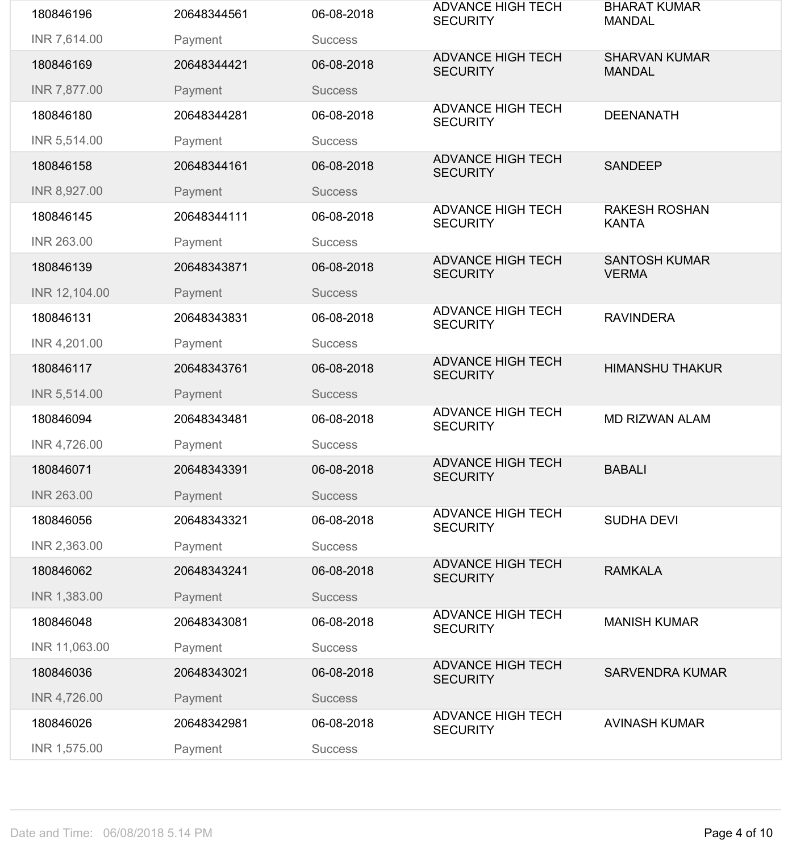| 180846196         | 20648344561 | 06-08-2018     | <b>ADVANCE HIGH TECH</b><br><b>SECURITY</b> | <b>BHARAT KUMAR</b><br><b>MANDAL</b>  |
|-------------------|-------------|----------------|---------------------------------------------|---------------------------------------|
| INR 7,614.00      | Payment     | <b>Success</b> |                                             |                                       |
| 180846169         | 20648344421 | 06-08-2018     | <b>ADVANCE HIGH TECH</b><br><b>SECURITY</b> | <b>SHARVAN KUMAR</b><br><b>MANDAL</b> |
| INR 7,877.00      | Payment     | <b>Success</b> |                                             |                                       |
| 180846180         | 20648344281 | 06-08-2018     | <b>ADVANCE HIGH TECH</b><br><b>SECURITY</b> | <b>DEENANATH</b>                      |
| INR 5,514.00      | Payment     | <b>Success</b> |                                             |                                       |
| 180846158         | 20648344161 | 06-08-2018     | <b>ADVANCE HIGH TECH</b><br><b>SECURITY</b> | <b>SANDEEP</b>                        |
| INR 8,927.00      | Payment     | <b>Success</b> |                                             |                                       |
| 180846145         | 20648344111 | 06-08-2018     | <b>ADVANCE HIGH TECH</b><br><b>SECURITY</b> | <b>RAKESH ROSHAN</b><br><b>KANTA</b>  |
| <b>INR 263.00</b> | Payment     | <b>Success</b> |                                             |                                       |
| 180846139         | 20648343871 | 06-08-2018     | <b>ADVANCE HIGH TECH</b><br><b>SECURITY</b> | <b>SANTOSH KUMAR</b><br><b>VERMA</b>  |
| INR 12,104.00     | Payment     | <b>Success</b> |                                             |                                       |
| 180846131         | 20648343831 | 06-08-2018     | <b>ADVANCE HIGH TECH</b><br><b>SECURITY</b> | <b>RAVINDERA</b>                      |
| INR 4,201.00      | Payment     | <b>Success</b> |                                             |                                       |
| 180846117         | 20648343761 | 06-08-2018     | <b>ADVANCE HIGH TECH</b><br><b>SECURITY</b> | <b>HIMANSHU THAKUR</b>                |
| INR 5,514.00      | Payment     | <b>Success</b> |                                             |                                       |
| 180846094         | 20648343481 | 06-08-2018     | <b>ADVANCE HIGH TECH</b><br><b>SECURITY</b> | <b>MD RIZWAN ALAM</b>                 |
| INR 4,726.00      | Payment     | <b>Success</b> |                                             |                                       |
| 180846071         | 20648343391 | 06-08-2018     | <b>ADVANCE HIGH TECH</b><br><b>SECURITY</b> | <b>BABALI</b>                         |
| <b>INR 263.00</b> | Payment     | <b>Success</b> |                                             |                                       |
| 180846056         | 20648343321 | 06-08-2018     | <b>ADVANCE HIGH TECH</b><br><b>SECURITY</b> | <b>SUDHA DEVI</b>                     |
| INR 2,363.00      | Payment     | <b>Success</b> |                                             |                                       |
| 180846062         | 20648343241 | 06-08-2018     | <b>ADVANCE HIGH TECH</b><br><b>SECURITY</b> | <b>RAMKALA</b>                        |
| INR 1,383.00      | Payment     | <b>Success</b> |                                             |                                       |
| 180846048         | 20648343081 | 06-08-2018     | <b>ADVANCE HIGH TECH</b><br><b>SECURITY</b> | <b>MANISH KUMAR</b>                   |
| INR 11,063.00     | Payment     | <b>Success</b> |                                             |                                       |
| 180846036         | 20648343021 | 06-08-2018     | <b>ADVANCE HIGH TECH</b><br><b>SECURITY</b> | <b>SARVENDRA KUMAR</b>                |
| INR 4,726.00      | Payment     | <b>Success</b> |                                             |                                       |
| 180846026         | 20648342981 | 06-08-2018     | <b>ADVANCE HIGH TECH</b><br><b>SECURITY</b> | <b>AVINASH KUMAR</b>                  |
| INR 1,575.00      | Payment     | <b>Success</b> |                                             |                                       |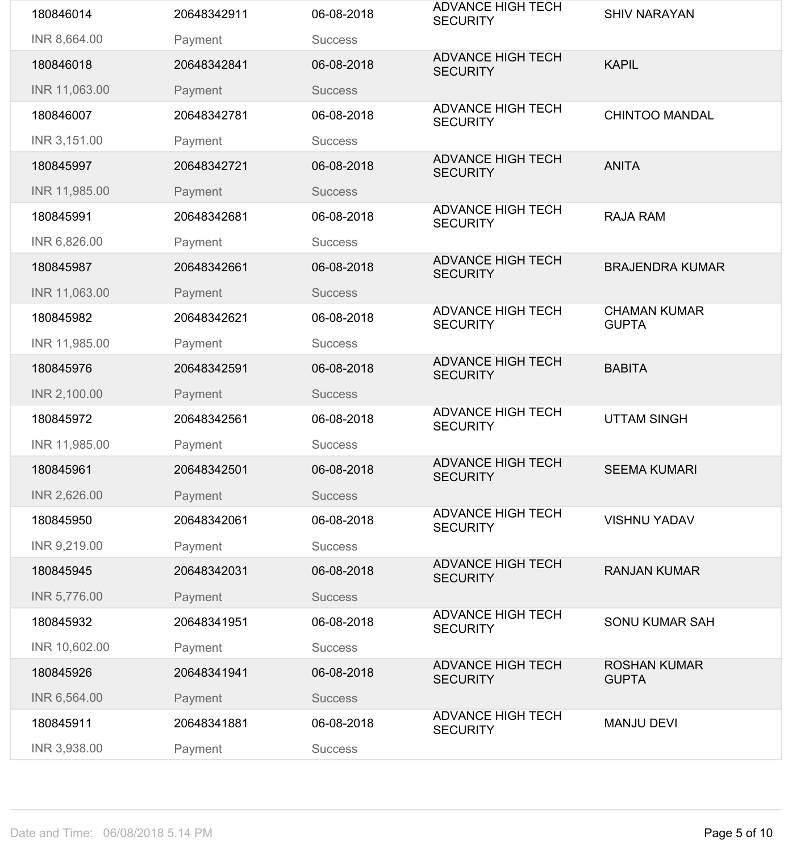| 180846014     | 20648342911 | 06-08-2018     | <b>ADVANCE HIGH TECH</b><br><b>SECURITY</b> | <b>SHIV NARAYAN</b>                 |
|---------------|-------------|----------------|---------------------------------------------|-------------------------------------|
| INR 8,664.00  | Payment     | <b>Success</b> |                                             |                                     |
| 180846018     | 20648342841 | 06-08-2018     | <b>ADVANCE HIGH TECH</b><br><b>SECURITY</b> | <b>KAPIL</b>                        |
| INR 11,063.00 | Payment     | <b>Success</b> |                                             |                                     |
| 180846007     | 20648342781 | 06-08-2018     | <b>ADVANCE HIGH TECH</b><br><b>SECURITY</b> | <b>CHINTOO MANDAL</b>               |
| INR 3,151.00  | Payment     | <b>Success</b> |                                             |                                     |
| 180845997     | 20648342721 | 06-08-2018     | <b>ADVANCE HIGH TECH</b><br><b>SECURITY</b> | <b>ANITA</b>                        |
| INR 11,985.00 | Payment     | <b>Success</b> |                                             |                                     |
| 180845991     | 20648342681 | 06-08-2018     | <b>ADVANCE HIGH TECH</b><br><b>SECURITY</b> | <b>RAJA RAM</b>                     |
| INR 6,826.00  | Payment     | <b>Success</b> |                                             |                                     |
| 180845987     | 20648342661 | 06-08-2018     | <b>ADVANCE HIGH TECH</b><br><b>SECURITY</b> | <b>BRAJENDRA KUMAR</b>              |
| INR 11,063.00 | Payment     | <b>Success</b> |                                             |                                     |
| 180845982     | 20648342621 | 06-08-2018     | <b>ADVANCE HIGH TECH</b><br><b>SECURITY</b> | <b>CHAMAN KUMAR</b><br><b>GUPTA</b> |
| INR 11,985.00 | Payment     | <b>Success</b> |                                             |                                     |
| 180845976     | 20648342591 | 06-08-2018     | <b>ADVANCE HIGH TECH</b><br><b>SECURITY</b> | <b>BABITA</b>                       |
| INR 2,100.00  | Payment     | <b>Success</b> |                                             |                                     |
| 180845972     | 20648342561 | 06-08-2018     | <b>ADVANCE HIGH TECH</b><br><b>SECURITY</b> | <b>UTTAM SINGH</b>                  |
| INR 11,985.00 | Payment     | <b>Success</b> |                                             |                                     |
| 180845961     | 20648342501 | 06-08-2018     | <b>ADVANCE HIGH TECH</b><br><b>SECURITY</b> | <b>SEEMA KUMARI</b>                 |
| INR 2,626.00  | Payment     | <b>Success</b> |                                             |                                     |
| 180845950     | 20648342061 | 06-08-2018     | <b>ADVANCE HIGH TECH</b><br><b>SECURITY</b> | <b>VISHNU YADAV</b>                 |
| INR 9,219.00  | Payment     | <b>Success</b> | <b>ADVANCE HIGH TECH</b>                    |                                     |
| 180845945     | 20648342031 | 06-08-2018     | <b>SECURITY</b>                             | <b>RANJAN KUMAR</b>                 |
| INR 5,776.00  | Payment     | <b>Success</b> |                                             |                                     |
| 180845932     | 20648341951 | 06-08-2018     | <b>ADVANCE HIGH TECH</b><br><b>SECURITY</b> | <b>SONU KUMAR SAH</b>               |
| INR 10,602.00 | Payment     | <b>Success</b> |                                             |                                     |
| 180845926     | 20648341941 | 06-08-2018     | <b>ADVANCE HIGH TECH</b><br><b>SECURITY</b> | <b>ROSHAN KUMAR</b><br><b>GUPTA</b> |
| INR 6,564.00  | Payment     | <b>Success</b> |                                             |                                     |
| 180845911     | 20648341881 | 06-08-2018     | <b>ADVANCE HIGH TECH</b><br><b>SECURITY</b> | <b>MANJU DEVI</b>                   |
| INR 3,938.00  | Payment     | <b>Success</b> |                                             |                                     |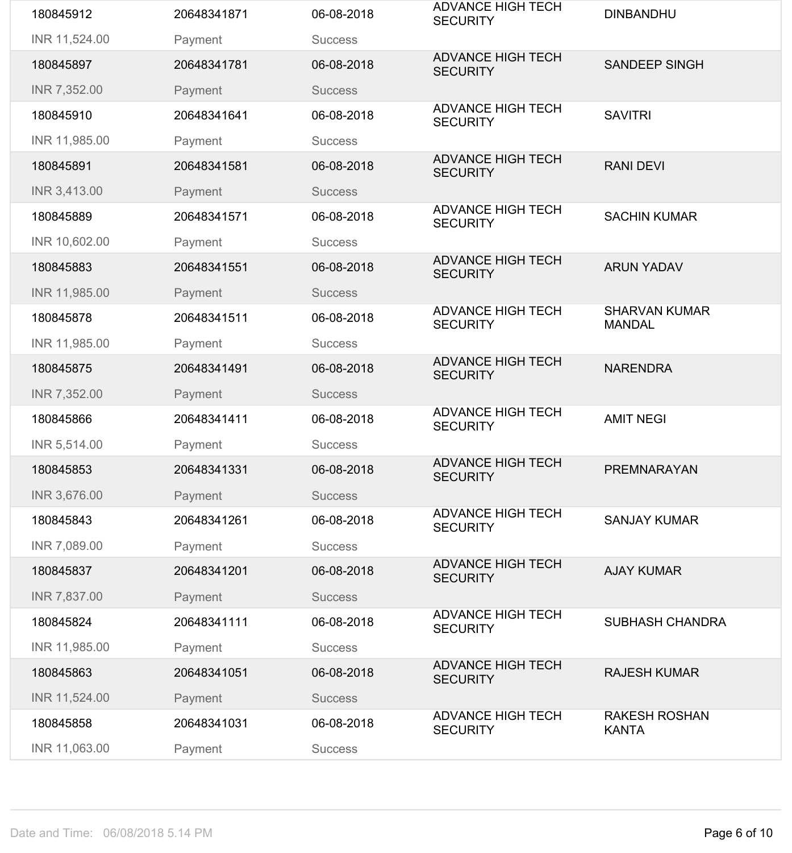| 180845912     | 20648341871 | 06-08-2018     | <b>ADVANCE HIGH TECH</b><br><b>SECURITY</b> | <b>DINBANDHU</b>                      |
|---------------|-------------|----------------|---------------------------------------------|---------------------------------------|
| INR 11,524.00 | Payment     | <b>Success</b> |                                             |                                       |
| 180845897     | 20648341781 | 06-08-2018     | <b>ADVANCE HIGH TECH</b><br><b>SECURITY</b> | <b>SANDEEP SINGH</b>                  |
| INR 7,352.00  | Payment     | <b>Success</b> |                                             |                                       |
| 180845910     | 20648341641 | 06-08-2018     | <b>ADVANCE HIGH TECH</b><br><b>SECURITY</b> | <b>SAVITRI</b>                        |
| INR 11,985.00 | Payment     | <b>Success</b> |                                             |                                       |
| 180845891     | 20648341581 | 06-08-2018     | <b>ADVANCE HIGH TECH</b><br><b>SECURITY</b> | <b>RANI DEVI</b>                      |
| INR 3,413.00  | Payment     | <b>Success</b> |                                             |                                       |
| 180845889     | 20648341571 | 06-08-2018     | <b>ADVANCE HIGH TECH</b><br><b>SECURITY</b> | <b>SACHIN KUMAR</b>                   |
| INR 10,602.00 | Payment     | <b>Success</b> |                                             |                                       |
| 180845883     | 20648341551 | 06-08-2018     | <b>ADVANCE HIGH TECH</b><br><b>SECURITY</b> | <b>ARUN YADAV</b>                     |
| INR 11,985.00 | Payment     | <b>Success</b> |                                             |                                       |
| 180845878     | 20648341511 | 06-08-2018     | <b>ADVANCE HIGH TECH</b><br><b>SECURITY</b> | <b>SHARVAN KUMAR</b><br><b>MANDAL</b> |
| INR 11,985.00 | Payment     | <b>Success</b> |                                             |                                       |
| 180845875     | 20648341491 | 06-08-2018     | <b>ADVANCE HIGH TECH</b><br><b>SECURITY</b> | <b>NARENDRA</b>                       |
| INR 7,352.00  | Payment     | <b>Success</b> |                                             |                                       |
| 180845866     | 20648341411 | 06-08-2018     | <b>ADVANCE HIGH TECH</b><br><b>SECURITY</b> | <b>AMIT NEGI</b>                      |
| INR 5,514.00  | Payment     | <b>Success</b> |                                             |                                       |
| 180845853     | 20648341331 | 06-08-2018     | <b>ADVANCE HIGH TECH</b><br><b>SECURITY</b> | <b>PREMNARAYAN</b>                    |
| INR 3,676.00  | Payment     | <b>Success</b> |                                             |                                       |
| 180845843     | 20648341261 | 06-08-2018     | <b>ADVANCE HIGH TECH</b><br><b>SECURITY</b> | <b>SANJAY KUMAR</b>                   |
| INR 7,089.00  | Payment     | <b>Success</b> |                                             |                                       |
| 180845837     | 20648341201 | 06-08-2018     | <b>ADVANCE HIGH TECH</b><br><b>SECURITY</b> | <b>AJAY KUMAR</b>                     |
| INR 7,837.00  | Payment     | <b>Success</b> |                                             |                                       |
| 180845824     | 20648341111 | 06-08-2018     | <b>ADVANCE HIGH TECH</b><br><b>SECURITY</b> | <b>SUBHASH CHANDRA</b>                |
| INR 11,985.00 | Payment     | <b>Success</b> |                                             |                                       |
| 180845863     | 20648341051 | 06-08-2018     | <b>ADVANCE HIGH TECH</b><br><b>SECURITY</b> | <b>RAJESH KUMAR</b>                   |
| INR 11,524.00 | Payment     | <b>Success</b> |                                             |                                       |
| 180845858     | 20648341031 | 06-08-2018     | <b>ADVANCE HIGH TECH</b><br><b>SECURITY</b> | <b>RAKESH ROSHAN</b><br><b>KANTA</b>  |
| INR 11,063.00 | Payment     | <b>Success</b> |                                             |                                       |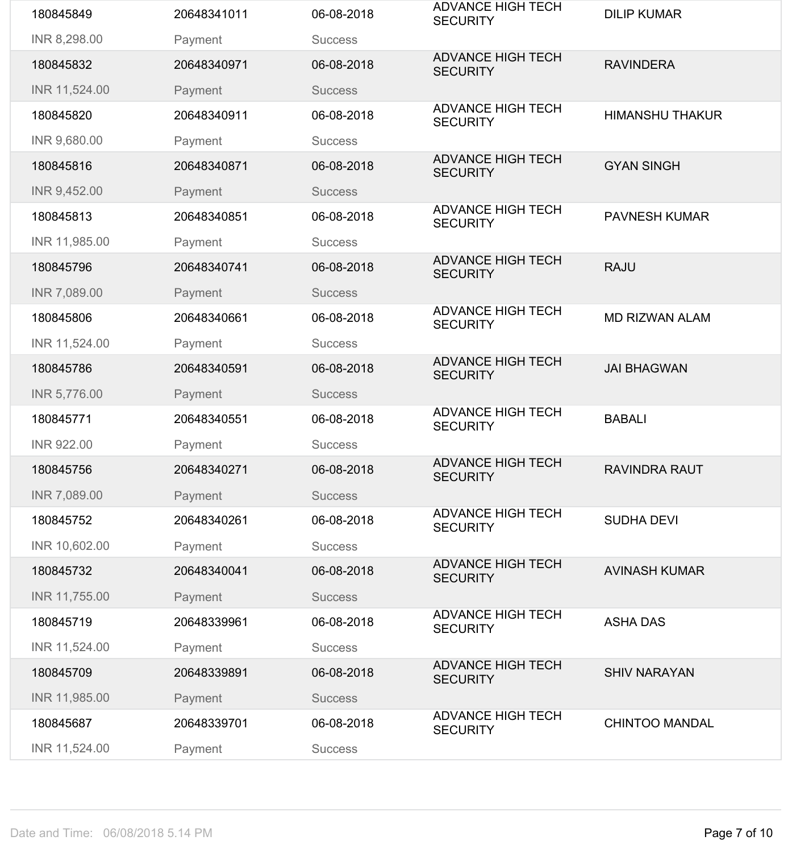| 180845849         | 20648341011 | 06-08-2018     | <b>ADVANCE HIGH TECH</b><br><b>SECURITY</b> | <b>DILIP KUMAR</b>     |
|-------------------|-------------|----------------|---------------------------------------------|------------------------|
| INR 8,298.00      | Payment     | <b>Success</b> |                                             |                        |
| 180845832         | 20648340971 | 06-08-2018     | <b>ADVANCE HIGH TECH</b><br><b>SECURITY</b> | <b>RAVINDERA</b>       |
| INR 11,524.00     | Payment     | <b>Success</b> |                                             |                        |
| 180845820         | 20648340911 | 06-08-2018     | <b>ADVANCE HIGH TECH</b><br><b>SECURITY</b> | <b>HIMANSHU THAKUR</b> |
| INR 9,680.00      | Payment     | <b>Success</b> |                                             |                        |
| 180845816         | 20648340871 | 06-08-2018     | <b>ADVANCE HIGH TECH</b><br><b>SECURITY</b> | <b>GYAN SINGH</b>      |
| INR 9,452.00      | Payment     | <b>Success</b> |                                             |                        |
| 180845813         | 20648340851 | 06-08-2018     | <b>ADVANCE HIGH TECH</b><br><b>SECURITY</b> | <b>PAVNESH KUMAR</b>   |
| INR 11,985.00     | Payment     | <b>Success</b> |                                             |                        |
| 180845796         | 20648340741 | 06-08-2018     | <b>ADVANCE HIGH TECH</b><br><b>SECURITY</b> | <b>RAJU</b>            |
| INR 7,089.00      | Payment     | <b>Success</b> |                                             |                        |
| 180845806         | 20648340661 | 06-08-2018     | <b>ADVANCE HIGH TECH</b><br><b>SECURITY</b> | <b>MD RIZWAN ALAM</b>  |
| INR 11,524.00     | Payment     | <b>Success</b> |                                             |                        |
| 180845786         | 20648340591 | 06-08-2018     | <b>ADVANCE HIGH TECH</b><br><b>SECURITY</b> | <b>JAI BHAGWAN</b>     |
| INR 5,776.00      | Payment     | <b>Success</b> |                                             |                        |
|                   |             |                |                                             |                        |
| 180845771         | 20648340551 | 06-08-2018     | <b>ADVANCE HIGH TECH</b><br><b>SECURITY</b> | <b>BABALI</b>          |
| <b>INR 922.00</b> | Payment     | <b>Success</b> |                                             |                        |
| 180845756         | 20648340271 | 06-08-2018     | <b>ADVANCE HIGH TECH</b><br><b>SECURITY</b> | <b>RAVINDRA RAUT</b>   |
| INR 7,089.00      | Payment     | <b>Success</b> |                                             |                        |
| 180845752         | 20648340261 | 06-08-2018     | <b>ADVANCE HIGH TECH</b><br><b>SECURITY</b> | <b>SUDHA DEVI</b>      |
| INR 10,602.00     | Payment     | <b>Success</b> |                                             |                        |
| 180845732         | 20648340041 | 06-08-2018     | <b>ADVANCE HIGH TECH</b><br><b>SECURITY</b> | <b>AVINASH KUMAR</b>   |
| INR 11,755.00     | Payment     | <b>Success</b> |                                             |                        |
| 180845719         | 20648339961 | 06-08-2018     | <b>ADVANCE HIGH TECH</b><br><b>SECURITY</b> | <b>ASHA DAS</b>        |
| INR 11,524.00     | Payment     | <b>Success</b> |                                             |                        |
| 180845709         | 20648339891 | 06-08-2018     | <b>ADVANCE HIGH TECH</b><br><b>SECURITY</b> | <b>SHIV NARAYAN</b>    |
| INR 11,985.00     | Payment     | <b>Success</b> |                                             |                        |
| 180845687         | 20648339701 | 06-08-2018     | <b>ADVANCE HIGH TECH</b><br><b>SECURITY</b> | <b>CHINTOO MANDAL</b>  |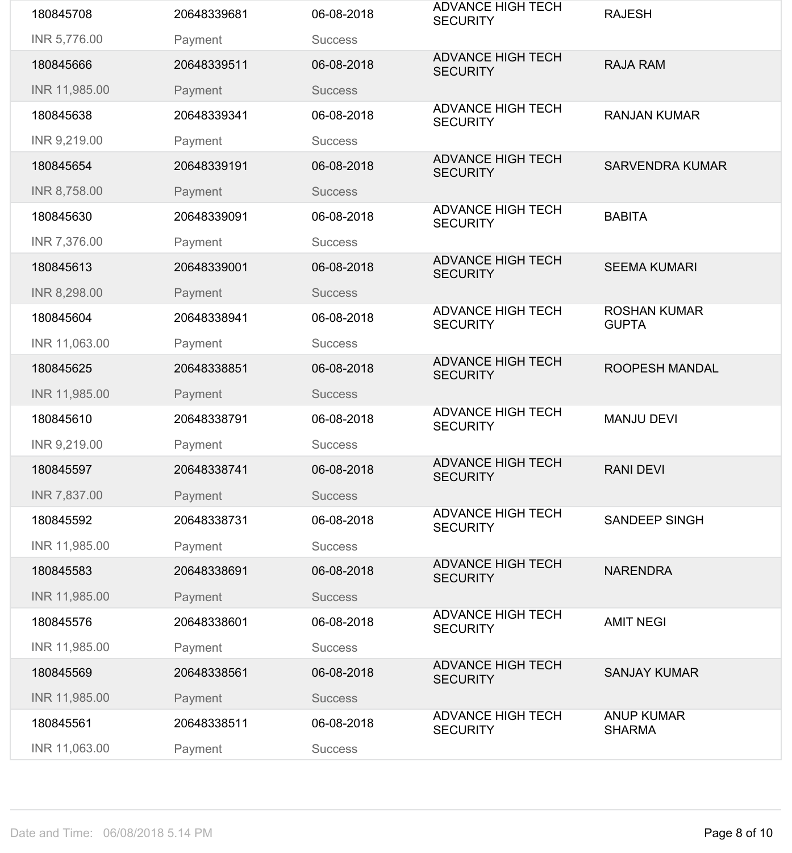| 180845708     | 20648339681 | 06-08-2018     | <b>ADVANCE HIGH TECH</b><br><b>SECURITY</b> | <b>RAJESH</b>                       |
|---------------|-------------|----------------|---------------------------------------------|-------------------------------------|
| INR 5,776.00  | Payment     | <b>Success</b> |                                             |                                     |
| 180845666     | 20648339511 | 06-08-2018     | <b>ADVANCE HIGH TECH</b><br><b>SECURITY</b> | <b>RAJA RAM</b>                     |
| INR 11,985.00 | Payment     | <b>Success</b> |                                             |                                     |
| 180845638     | 20648339341 | 06-08-2018     | <b>ADVANCE HIGH TECH</b><br><b>SECURITY</b> | <b>RANJAN KUMAR</b>                 |
| INR 9,219.00  | Payment     | <b>Success</b> |                                             |                                     |
| 180845654     | 20648339191 | 06-08-2018     | <b>ADVANCE HIGH TECH</b><br><b>SECURITY</b> | <b>SARVENDRA KUMAR</b>              |
| INR 8,758.00  | Payment     | <b>Success</b> |                                             |                                     |
| 180845630     | 20648339091 | 06-08-2018     | <b>ADVANCE HIGH TECH</b><br><b>SECURITY</b> | <b>BABITA</b>                       |
| INR 7,376.00  | Payment     | <b>Success</b> |                                             |                                     |
| 180845613     | 20648339001 | 06-08-2018     | <b>ADVANCE HIGH TECH</b><br><b>SECURITY</b> | <b>SEEMA KUMARI</b>                 |
| INR 8,298.00  | Payment     | <b>Success</b> |                                             |                                     |
| 180845604     | 20648338941 | 06-08-2018     | <b>ADVANCE HIGH TECH</b><br><b>SECURITY</b> | <b>ROSHAN KUMAR</b><br><b>GUPTA</b> |
| INR 11,063.00 | Payment     | <b>Success</b> |                                             |                                     |
| 180845625     | 20648338851 | 06-08-2018     | <b>ADVANCE HIGH TECH</b><br><b>SECURITY</b> | <b>ROOPESH MANDAL</b>               |
| INR 11,985.00 | Payment     | <b>Success</b> |                                             |                                     |
| 180845610     | 20648338791 | 06-08-2018     | <b>ADVANCE HIGH TECH</b><br><b>SECURITY</b> | <b>MANJU DEVI</b>                   |
| INR 9,219.00  | Payment     | <b>Success</b> |                                             |                                     |
| 180845597     | 20648338741 | 06-08-2018     | <b>ADVANCE HIGH TECH</b><br><b>SECURITY</b> | <b>RANI DEVI</b>                    |
| INR 7,837.00  | Payment     | <b>Success</b> |                                             |                                     |
| 180845592     | 20648338731 | 06-08-2018     | <b>ADVANCE HIGH TECH</b><br><b>SECURITY</b> | <b>SANDEEP SINGH</b>                |
| INR 11,985.00 | Payment     | <b>Success</b> |                                             |                                     |
| 180845583     | 20648338691 | 06-08-2018     | <b>ADVANCE HIGH TECH</b><br><b>SECURITY</b> | <b>NARENDRA</b>                     |
| INR 11,985.00 | Payment     | <b>Success</b> |                                             |                                     |
| 180845576     | 20648338601 | 06-08-2018     | <b>ADVANCE HIGH TECH</b><br><b>SECURITY</b> | <b>AMIT NEGI</b>                    |
| INR 11,985.00 | Payment     | <b>Success</b> |                                             |                                     |
| 180845569     | 20648338561 | 06-08-2018     | <b>ADVANCE HIGH TECH</b><br><b>SECURITY</b> | <b>SANJAY KUMAR</b>                 |
| INR 11,985.00 | Payment     | <b>Success</b> |                                             |                                     |
| 180845561     | 20648338511 | 06-08-2018     | <b>ADVANCE HIGH TECH</b><br><b>SECURITY</b> | <b>ANUP KUMAR</b><br><b>SHARMA</b>  |
| INR 11,063.00 | Payment     | <b>Success</b> |                                             |                                     |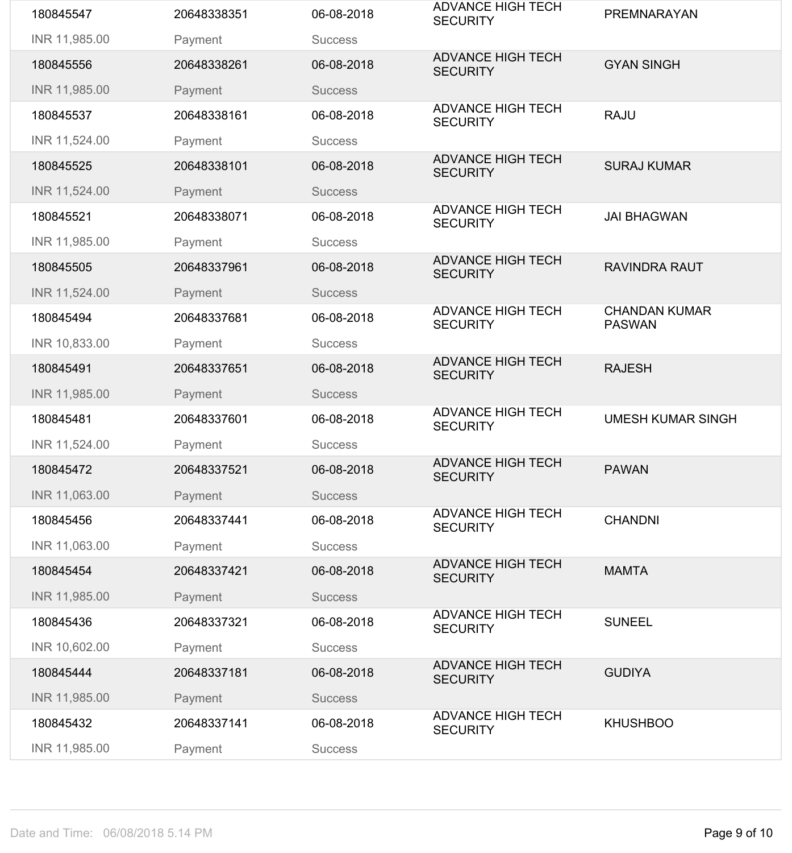| 180845547     | 20648338351 | 06-08-2018     | <b>ADVANCE HIGH TECH</b><br><b>SECURITY</b> | <b>PREMNARAYAN</b>                    |
|---------------|-------------|----------------|---------------------------------------------|---------------------------------------|
| INR 11,985.00 | Payment     | <b>Success</b> |                                             |                                       |
| 180845556     | 20648338261 | 06-08-2018     | <b>ADVANCE HIGH TECH</b><br><b>SECURITY</b> | <b>GYAN SINGH</b>                     |
| INR 11,985.00 | Payment     | <b>Success</b> |                                             |                                       |
| 180845537     | 20648338161 | 06-08-2018     | <b>ADVANCE HIGH TECH</b><br><b>SECURITY</b> | <b>RAJU</b>                           |
| INR 11,524.00 | Payment     | <b>Success</b> |                                             |                                       |
| 180845525     | 20648338101 | 06-08-2018     | <b>ADVANCE HIGH TECH</b><br><b>SECURITY</b> | <b>SURAJ KUMAR</b>                    |
| INR 11,524.00 | Payment     | <b>Success</b> |                                             |                                       |
| 180845521     | 20648338071 | 06-08-2018     | <b>ADVANCE HIGH TECH</b><br><b>SECURITY</b> | <b>JAI BHAGWAN</b>                    |
| INR 11,985.00 | Payment     | <b>Success</b> |                                             |                                       |
| 180845505     | 20648337961 | 06-08-2018     | <b>ADVANCE HIGH TECH</b><br><b>SECURITY</b> | <b>RAVINDRA RAUT</b>                  |
| INR 11,524.00 | Payment     | <b>Success</b> |                                             |                                       |
| 180845494     | 20648337681 | 06-08-2018     | <b>ADVANCE HIGH TECH</b><br><b>SECURITY</b> | <b>CHANDAN KUMAR</b><br><b>PASWAN</b> |
| INR 10,833.00 | Payment     | <b>Success</b> |                                             |                                       |
| 180845491     | 20648337651 | 06-08-2018     | <b>ADVANCE HIGH TECH</b><br><b>SECURITY</b> | <b>RAJESH</b>                         |
| INR 11,985.00 | Payment     | <b>Success</b> |                                             |                                       |
| 180845481     | 20648337601 | 06-08-2018     | <b>ADVANCE HIGH TECH</b><br><b>SECURITY</b> | <b>UMESH KUMAR SINGH</b>              |
| INR 11,524.00 | Payment     | <b>Success</b> |                                             |                                       |
| 180845472     | 20648337521 | 06-08-2018     | <b>ADVANCE HIGH TECH</b><br><b>SECURITY</b> | <b>PAWAN</b>                          |
| INR 11,063.00 | Payment     | <b>Success</b> |                                             |                                       |
| 180845456     | 20648337441 | 06-08-2018     | <b>ADVANCE HIGH TECH</b><br><b>SECURITY</b> | <b>CHANDNI</b>                        |
| INR 11,063.00 | Payment     | <b>Success</b> |                                             |                                       |
| 180845454     | 20648337421 | 06-08-2018     | <b>ADVANCE HIGH TECH</b><br><b>SECURITY</b> | <b>MAMTA</b>                          |
| INR 11,985.00 | Payment     | <b>Success</b> |                                             |                                       |
| 180845436     | 20648337321 | 06-08-2018     | <b>ADVANCE HIGH TECH</b><br><b>SECURITY</b> | <b>SUNEEL</b>                         |
| INR 10,602.00 | Payment     | <b>Success</b> |                                             |                                       |
| 180845444     | 20648337181 | 06-08-2018     | <b>ADVANCE HIGH TECH</b><br><b>SECURITY</b> | <b>GUDIYA</b>                         |
| INR 11,985.00 | Payment     | <b>Success</b> |                                             |                                       |
| 180845432     | 20648337141 | 06-08-2018     | <b>ADVANCE HIGH TECH</b><br><b>SECURITY</b> | <b>KHUSHBOO</b>                       |
| INR 11,985.00 | Payment     | <b>Success</b> |                                             |                                       |